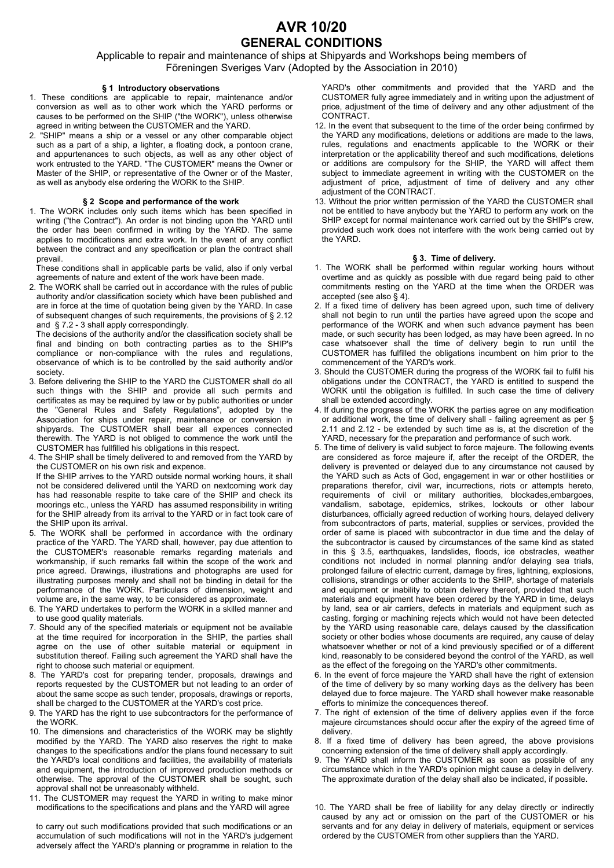# **AVR 10/20 GENERAL CONDITIONS**

Applicable to repair and maintenance of ships at Shipyards and Workshops being members of Föreningen Sveriges Varv (Adopted by the Association in 2010)

# **§ 1 Introductory observations**

- 1. These conditions are applicable to repair, maintenance and/or conversion as well as to other work which the YARD performs or causes to be performed on the SHIP ("the WORK"), unless otherwise agreed in writing between the CUSTOMER and the YARD.<br>2. "SHIP" means a ship or a vessel or any other compar-
- "SHIP" means a ship or a vessel or any other comparable object such as a part of a ship, a lighter, a floating dock, a pontoon crane, and appurtenances to such objects, as well as any other object of work entrusted to the YARD. "The CUSTOMER" means the Owner or Master of the SHIP, or representative of the Owner or of the Master, as well as anybody else ordering the WORK to the SHIP.

# **§ 2 Scope and performance of the work**

1. The WORK includes only such items which has been specified in writing ("the Contract"). An order is not binding upon the YARD until the order has been confirmed in writing by the YARD. The same applies to modifications and extra work. In the event of any conflict between the contract and any specification or plan the contract shall prevail.

 These conditions shall in applicable parts be valid, also if only verbal agreements of nature and extent of the work have been made.

2. The WORK shall be carried out in accordance with the rules of public authority and/or classification society which have been published and are in force at the time of quotation being given by the YARD. In case of subsequent changes of such requirements, the provisions of § 2.12 and § 7.2 - 3 shall apply correspondingly.

 The decisions of the authority and/or the classification society shall be final and binding on both contracting parties as to the SHIP's compliance or non-compliance with the rules and regulations, observance of which is to be controlled by the said authority and/or society.

- 3. Before delivering the SHIP to the YARD the CUSTOMER shall do all such things with the SHIP and provide all such permits and certificates as may be required by law or by public authorities or under the "General Rules and Safety Regulations", adopted by the Association for ships under repair, maintenance or conversion in shipyards. The CUSTOMER shall bear all expences connected therewith. The YARD is not obliged to commence the work until the CUSTOMER has fullfilled his obligations in this respect.
- 4. The SHIP shall be timely delivered to and removed from the YARD by the CUSTOMER on his own risk and expence. If the SHIP arrives to the YARD outside normal working hours, it shall not be considered delivered until the YARD on nextcoming work day has had reasonable respite to take care of the SHIP and check its moorings etc., unless the YARD has assumed responsibility in writing

for the SHIP already from its arrival to the YARD or in fact took care of the SHIP upon its arrival. 5. The WORK shall be performed in accordance with the ordinary

- practice of the YARD. The YARD shall, however, pay due attention to the CUSTOMER's reasonable remarks regarding materials and workmanship, if such remarks fall within the scope of the work and price agreed. Drawings, illustrations and photographs are used for illustrating purposes merely and shall not be binding in detail for the performance of the WORK. Particulars of dimension, weight and volume are, in the same way, to be considered as approximate.
- 6. The YARD undertakes to perform the WORK in a skilled manner and to use good quality materials.
- 7. Should any of the specified materials or equipment not be available at the time required for incorporation in the SHIP, the parties shall agree on the use of other suitable material or equipment in substitution thereof. Failing such agreement the YARD shall have the right to choose such material or equipment.
- 8. The YARD's cost for preparing tender, proposals, drawings and reports requested by the CUSTOMER but not leading to an order of about the same scope as such tender, proposals, drawings or reports, shall be charged to the CUSTOMER at the YARD's cost price.
- 9. The YARD has the right to use subcontractors for the performance of the WORK.
- 10. The dimensions and characteristics of the WORK may be slightly modified by the YARD. The YARD also reserves the right to make changes to the specifications and/or the plans found necessary to suit the YARD's local conditions and facilities, the availability of materials and equipment, the introduction of improved production methods or otherwise. The approval of the CUSTOMER shall be sought, such approval shall not be unreasonably withheld.
- 11. The CUSTOMER may request the YARD in writing to make minor modifications to the specifications and plans and the YARD will agree

 to carry out such modifications provided that such modifications or an accumulation of such modifications will not in the YARD's judgement adversely affect the YARD's planning or programme in relation to the

YARD's other commitments and provided that the YARD and the CUSTOMER fully agree immediately and in writing upon the adjustment of price, adjustment of the time of delivery and any other adjustment of the CONTRACT.

- 12. In the event that subsequent to the time of the order being confirmed by the YARD any modifications, deletions or additions are made to the laws, rules, regulations and enactments applicable to the WORK or their interpretation or the applicability thereof and such modifications, deletions or additions are compulsory for the SHIP, the YARD will affect them subject to immediate agreement in writing with the CUSTOMER on the adjustment of price, adjustment of time of delivery and any other adjustment of the CONTRACT.
- 13. Without the prior written permission of the YARD the CUSTOMER shall not be entitled to have anybody but the YARD to perform any work on the SHIP except for normal maintenance work carried out by the SHIP's crew, provided such work does not interfere with the work being carried out by the YARD.

# **§ 3. Time of delivery.**

- 1. The WORK shall be performed within regular working hours without overtime and as quickly as possible with due regard being paid to other commitments resting on the YARD at the time when the ORDER was accepted (see also § 4).
- 2. If a fixed time of delivery has been agreed upon, such time of delivery shall not begin to run until the parties have agreed upon the scope and performance of the WORK and when such advance payment has been made, or such security has been lodged, as may have been agreed. In no case whatsoever shall the time of delivery begin to run until the CUSTOMER has fulfilled the obligations incumbent on him prior to the commencement of the YARD's work.
- 3. Should the CUSTOMER during the progress of the WORK fail to fulfil his obligations under the CONTRACT, the YARD is entitled to suspend the WORK until the obligation is fulfilled. In such case the time of delivery shall be extended accordingly.
- 4. If during the progress of the WORK the parties agree on any modification or additional work, the time of delivery shall - failing agreement as per § 2.11 and 2.12 - be extended by such time as is, at the discretion of the YARD, necessary for the preparation and performance of such work.
- 5. The time of delivery is valid subject to force majeure. The following events are considered as force majeure if, after the receipt of the ORDER, the delivery is prevented or delayed due to any circumstance not caused by the YARD such as Acts of God, engagement in war or other hostilities or preparations therefor, civil war, incurrections, riots or attempts hereto, requirements of civil or military authorities, blockades,embargoes, vandalism, sabotage, epidemics, strikes, lockouts or other labour disturbances, officially agreed reduction of working hours, delayed delivery from subcontractors of parts, material, supplies or services, provided the order of same is placed with subcontractor in due time and the delay of the subcontractor is caused by circumstances of the same kind as stated in this § 3.5, earthquakes, landslides, floods, ice obstracles, weather conditions not included in normal planning and/or delaying sea trials, prolonged failure of electric current, damage by fires, lightning, explosions, collisions, strandings or other accidents to the SHIP, shortage of materials and equipment or inability to obtain delivery thereof, provided that such materials and equipment have been ordered by the YARD in time, delays by land, sea or air carriers, defects in materials and equipment such as casting, forging or machining rejects which would not have been detected by the YARD using reasonable care, delays caused by the classification society or other bodies whose documents are required, any cause of delay whatsoever whether or not of a kind previously specified or of a different kind, reasonably to be considered beyond the control of the YARD, as well as the effect of the foregoing on the YARD's other commitments.
- 6. In the event of force majeure the YARD shall have the right of extension of the time of delivery by so many working days as the delivery has been delayed due to force majeure. The YARD shall however make reasonable efforts to minimize the concequences thereof.
- 7. The right of extension of the time of delivery applies even if the force majeure circumstances should occur after the expiry of the agreed time of delivery.
- 8. If a fixed time of delivery has been agreed, the above provisions concerning extension of the time of delivery shall apply accordingly.
- 9. The YARD shall inform the CUSTOMER as soon as possible of any circumstance which in the YARD's opinion might cause a delay in delivery. The approximate duration of the delay shall also be indicated, if possible.
- 10. The YARD shall be free of liability for any delay directly or indirectly caused by any act or omission on the part of the CUSTOMER or his servants and for any delay in delivery of materials, equipment or services ordered by the CUSTOMER from other suppliers than the YARD.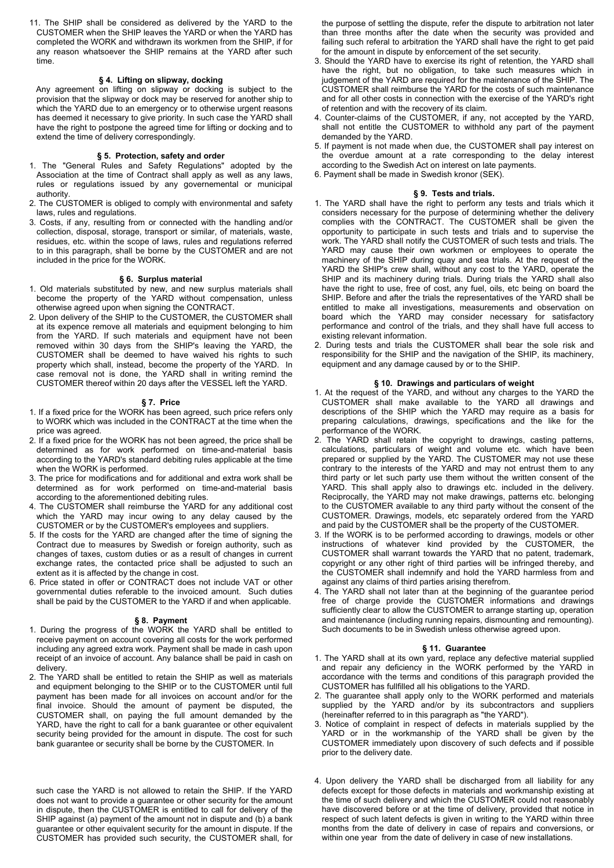11. The SHIP shall be considered as delivered by the YARD to the CUSTOMER when the SHIP leaves the YARD or when the YARD has completed the WORK and withdrawn its workmen from the SHIP, if for any reason whatsoever the SHIP remains at the YARD after such time.

# **§ 4. Lifting on slipway, docking**

 Any agreement on lifting on slipway or docking is subject to the provision that the slipway or dock may be reserved for another ship to which the YARD due to an emergency or to otherwise urgent reasons has deemed it necessary to give priority. In such case the YARD shall have the right to postpone the agreed time for lifting or docking and to extend the time of delivery correspondingly.

#### **§ 5. Protection, safety and order**

- 1. The "General Rules and Safety Regulations" adopted by the Association at the time of Contract shall apply as well as any laws, rules or regulations issued by any governemental or municipal authority.
- 2. The CUSTOMER is obliged to comply with environmental and safety laws, rules and regulations.
- 3. Costs, if any, resulting from or connected with the handling and/or collection, disposal, storage, transport or similar, of materials, waste, residues, etc. within the scope of laws, rules and regulations referred to in this paragraph, shall be borne by the CUSTOMER and are not included in the price for the WORK.

#### **§ 6. Surplus material**

- 1. Old materials substituted by new, and new surplus materials shall become the property of the YARD without compensation, unless otherwise agreed upon when signing the CONTRACT.
- 2. Upon delivery of the SHIP to the CUSTOMER, the CUSTOMER shall at its expence remove all materials and equipment belonging to him from the YARD. If such materials and equipment have not been removed within 30 days from the SHIP's leaving the YARD, the CUSTOMER shall be deemed to have waived his rights to such property which shall, instead, become the property of the YARD. In case removal not is done, the YARD shall in writing remind the CUSTOMER thereof within 20 days after the VESSEL left the YARD.

# **§ 7. Price**

- 1. If a fixed price for the WORK has been agreed, such price refers only to WORK which was included in the CONTRACT at the time when the price was agreed.
- 2. If a fixed price for the WORK has not been agreed, the price shall be determined as for work performed on time-and-material basis according to the YARD's standard debiting rules applicable at the time when the WORK is performed.
- 3. The price for modifications and for additional and extra work shall be determined as for work performed on time-and-material basis according to the aforementioned debiting rules.
- 4. The CUSTOMER shall reimburse the YARD for any additional cost which the YARD may incur owing to any delay caused by the CUSTOMER or by the CUSTOMER's employees and suppliers.
- 5. If the costs for the YARD are changed after the time of signing the Contract due to measures by Swedish or foreign authority, such as changes of taxes, custom duties or as a result of changes in current exchange rates, the contacted price shall be adjusted to such an extent as it is affected by the change in cost.
- 6. Price stated in offer or CONTRACT does not include VAT or other governmental duties referable to the invoiced amount. Such duties shall be paid by the CUSTOMER to the YARD if and when applicable.

# **§ 8. Payment**

- 1. During the progress of the WORK the YARD shall be entitled to receive payment on account covering all costs for the work performed including any agreed extra work. Payment shall be made in cash upon receipt of an invoice of account. Any balance shall be paid in cash on delivery.
- 2. The YARD shall be entitled to retain the SHIP as well as materials and equipment belonging to the SHIP or to the CUSTOMER until full payment has been made for all invoices on account and/or for the final invoice. Should the amount of payment be disputed, the CUSTOMER shall, on paying the full amount demanded by the YARD, have the right to call for a bank guarantee or other equivalent security being provided for the amount in dispute. The cost for such bank guarantee or security shall be borne by the CUSTOMER. In

 such case the YARD is not allowed to retain the SHIP. If the YARD does not want to provide a guarantee or other security for the amount in dispute, then the CUSTOMER is entitled to call for delivery of the SHIP against (a) payment of the amount not in dispute and (b) a bank guarantee or other equivalent security for the amount in dispute. If the CUSTOMER has provided such security, the CUSTOMER shall, for

the purpose of settling the dispute, refer the dispute to arbitration not later than three months after the date when the security was provided and failing such referal to arbitration the YARD shall have the right to get paid for the amount in dispute by enforcement of the set security.

- 3. Should the YARD have to exercise its right of retention, the YARD shall have the right, but no obligation, to take such measures which in judgement of the YARD are required for the maintenance of the SHIP. The CUSTOMER shall reimburse the YARD for the costs of such maintenance and for all other costs in connection with the exercise of the YARD's right of retention and with the recovery of its claim.
- 4. Counter-claims of the CUSTOMER, if any, not accepted by the YARD, shall not entitle the CUSTOMER to withhold any part of the payment demanded by the YARD.
- 5. If payment is not made when due, the CUSTOMER shall pay interest on the overdue amount at a rate corresponding to the delay interest according to the Swedish Act on interest on late payments.
- 6. Payment shall be made in Swedish kronor (SEK).

#### **§ 9. Tests and trials.**

- 1. The YARD shall have the right to perform any tests and trials which it considers necessary for the purpose of determining whether the delivery complies with the CONTRACT. The CUSTOMER shall be given the opportunity to participate in such tests and trials and to supervise the work. The YARD shall notify the CUSTOMER of such tests and trials. The YARD may cause their own workmen or employees to operate the machinery of the SHIP during quay and sea trials. At the request of the YARD the SHIP's crew shall, without any cost to the YARD, operate the SHIP and its machinery during trials. During trials the YARD shall also have the right to use, free of cost, any fuel, oils, etc being on board the SHIP. Before and after the trials the representatives of the YARD shall be entitled to make all investigations, measurements and observation on board which the YARD may consider necessary for satisfactory performance and control of the trials, and they shall have full access to existing relevant information.
- 2. During tests and trials the CUSTOMER shall bear the sole risk and responsibility for the SHIP and the navigation of the SHIP, its machinery, equipment and any damage caused by or to the SHIP.

#### **§ 10. Drawings and particulars of weight**

- 1. At the request of the YARD, and without any charges to the YARD the CUSTOMER shall make available to the YARD all drawings and descriptions of the SHIP which the YARD may require as a basis for preparing calculations, drawings, specifications and the like for the performance of the WORK.
- 2. The YARD shall retain the copyright to drawings, casting patterns, calculations, particulars of weight and volume etc. which have been prepared or supplied by the YARD. The CUSTOMER may not use these contrary to the interests of the YARD and may not entrust them to any third party or let such party use them without the written consent of the YARD. This shall apply also to drawings etc. included in the delivery. Reciprocally, the YARD may not make drawings, patterns etc. belonging to the CUSTOMER available to any third party without the consent of the CUSTOMER. Drawings, models, etc separately ordered from the YARD and paid by the CUSTOMER shall be the property of the CUSTOMER.
- 3. If the WORK is to be performed according to drawings, models or other instructions of whatever kind provided by the CUSTOMER, the CUSTOMER shall warrant towards the YARD that no patent, trademark, copyright or any other right of third parties will be infringed thereby, and the CUSTOMER shall indemnify and hold the YARD harmless from and against any claims of third parties arising therefrom.
- 4. The YARD shall not later than at the beginning of the guarantee period free of charge provide the CUSTOMER informations and drawings sufficiently clear to allow the CUSTOMER to arrange starting up, operation and maintenance (including running repairs, dismounting and remounting). Such documents to be in Swedish unless otherwise agreed upon.

## **§ 11. Guarantee**

- 1. The YARD shall at its own yard, replace any defective material supplied and repair any deficiency in the WORK performed by the YARD in accordance with the terms and conditions of this paragraph provided the CUSTOMER has fullfilled all his obligations to the YARD.
- 2. The guarantee shall apply only to the WORK performed and materials supplied by the YARD and/or by its subcontractors and suppliers (hereinafter referred to in this paragraph as "the YARD").
- 3. Notice of complaint in respect of defects in materials supplied by the YARD or in the workmanship of the YARD shall be given by the CUSTOMER immediately upon discovery of such defects and if possible prior to the delivery date.
- 4. Upon delivery the YARD shall be discharged from all liability for any defects except for those defects in materials and workmanship existing at the time of such delivery and which the CUSTOMER could not reasonably have discovered before or at the time of delivery, provided that notice in respect of such latent defects is given in writing to the YARD within three months from the date of delivery in case of repairs and conversions, or within one year from the date of delivery in case of new installations.